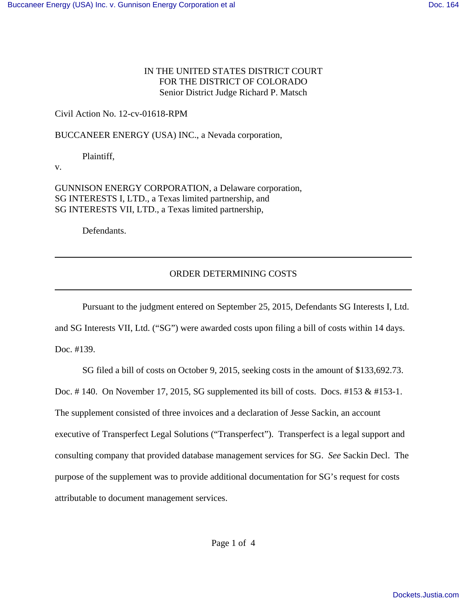## IN THE UNITED STATES DISTRICT COURT FOR THE DISTRICT OF COLORADO Senior District Judge Richard P. Matsch

Civil Action No. 12-cv-01618-RPM

BUCCANEER ENERGY (USA) INC., a Nevada corporation,

Plaintiff,

v.

GUNNISON ENERGY CORPORATION, a Delaware corporation, SG INTERESTS I, LTD., a Texas limited partnership, and SG INTERESTS VII, LTD., a Texas limited partnership,

Defendants.

## ORDER DETERMINING COSTS

Pursuant to the judgment entered on September 25, 2015, Defendants SG Interests I, Ltd.

and SG Interests VII, Ltd. ("SG") were awarded costs upon filing a bill of costs within 14 days.

Doc. #139.

SG filed a bill of costs on October 9, 2015, seeking costs in the amount of \$133,692.73.

Doc. # 140. On November 17, 2015, SG supplemented its bill of costs. Docs. #153 & #153-1.

The supplement consisted of three invoices and a declaration of Jesse Sackin, an account

executive of Transperfect Legal Solutions ("Transperfect"). Transperfect is a legal support and

consulting company that provided database management services for SG. *See* Sackin Decl. The

purpose of the supplement was to provide additional documentation for SG's request for costs

attributable to document management services.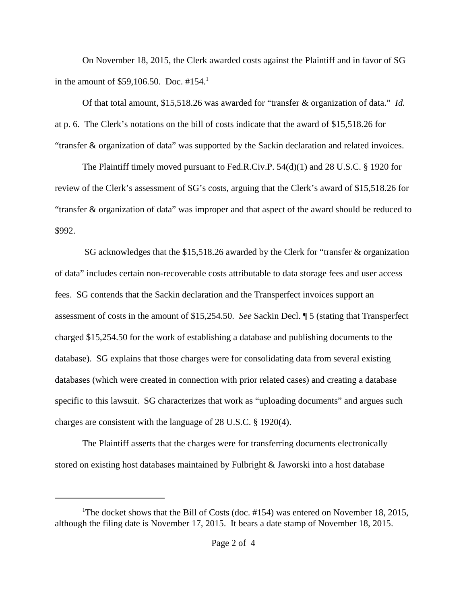On November 18, 2015, the Clerk awarded costs against the Plaintiff and in favor of SG in the amount of \$59,106.50. Doc.  $\#154$ .<sup>1</sup>

Of that total amount, \$15,518.26 was awarded for "transfer & organization of data." *Id.* at p. 6. The Clerk's notations on the bill of costs indicate that the award of \$15,518.26 for "transfer & organization of data" was supported by the Sackin declaration and related invoices.

The Plaintiff timely moved pursuant to Fed.R.Civ.P. 54(d)(1) and 28 U.S.C. § 1920 for review of the Clerk's assessment of SG's costs, arguing that the Clerk's award of \$15,518.26 for "transfer & organization of data" was improper and that aspect of the award should be reduced to \$992.

 SG acknowledges that the \$15,518.26 awarded by the Clerk for "transfer & organization of data" includes certain non-recoverable costs attributable to data storage fees and user access fees. SG contends that the Sackin declaration and the Transperfect invoices support an assessment of costs in the amount of \$15,254.50. *See* Sackin Decl. ¶ 5 (stating that Transperfect charged \$15,254.50 for the work of establishing a database and publishing documents to the database). SG explains that those charges were for consolidating data from several existing databases (which were created in connection with prior related cases) and creating a database specific to this lawsuit. SG characterizes that work as "uploading documents" and argues such charges are consistent with the language of 28 U.S.C. § 1920(4).

The Plaintiff asserts that the charges were for transferring documents electronically stored on existing host databases maintained by Fulbright & Jaworski into a host database

<sup>&</sup>lt;sup>1</sup>The docket shows that the Bill of Costs (doc.  $\#154$ ) was entered on November 18, 2015, although the filing date is November 17, 2015. It bears a date stamp of November 18, 2015.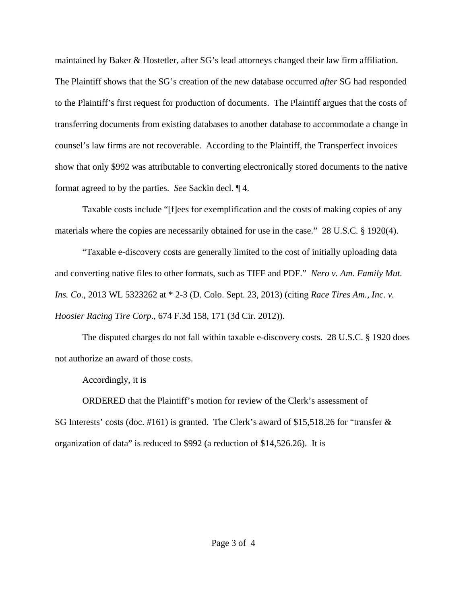maintained by Baker & Hostetler, after SG's lead attorneys changed their law firm affiliation. The Plaintiff shows that the SG's creation of the new database occurred *after* SG had responded to the Plaintiff's first request for production of documents. The Plaintiff argues that the costs of transferring documents from existing databases to another database to accommodate a change in counsel's law firms are not recoverable. According to the Plaintiff, the Transperfect invoices show that only \$992 was attributable to converting electronically stored documents to the native format agreed to by the parties. *See* Sackin decl. ¶ 4.

Taxable costs include "[f]ees for exemplification and the costs of making copies of any materials where the copies are necessarily obtained for use in the case." 28 U.S.C. § 1920(4).

"Taxable e-discovery costs are generally limited to the cost of initially uploading data and converting native files to other formats, such as TIFF and PDF." *Nero v. Am. Family Mut. Ins. Co.*, 2013 WL 5323262 at \* 2-3 (D. Colo. Sept. 23, 2013) (citing *Race Tires Am., Inc. v. Hoosier Racing Tire Corp*.*,* 674 F.3d 158, 171 (3d Cir. 2012)).

The disputed charges do not fall within taxable e-discovery costs. 28 U.S.C. § 1920 does not authorize an award of those costs.

Accordingly, it is

ORDERED that the Plaintiff's motion for review of the Clerk's assessment of SG Interests' costs (doc. #161) is granted. The Clerk's award of \$15,518.26 for "transfer & organization of data" is reduced to \$992 (a reduction of \$14,526.26). It is